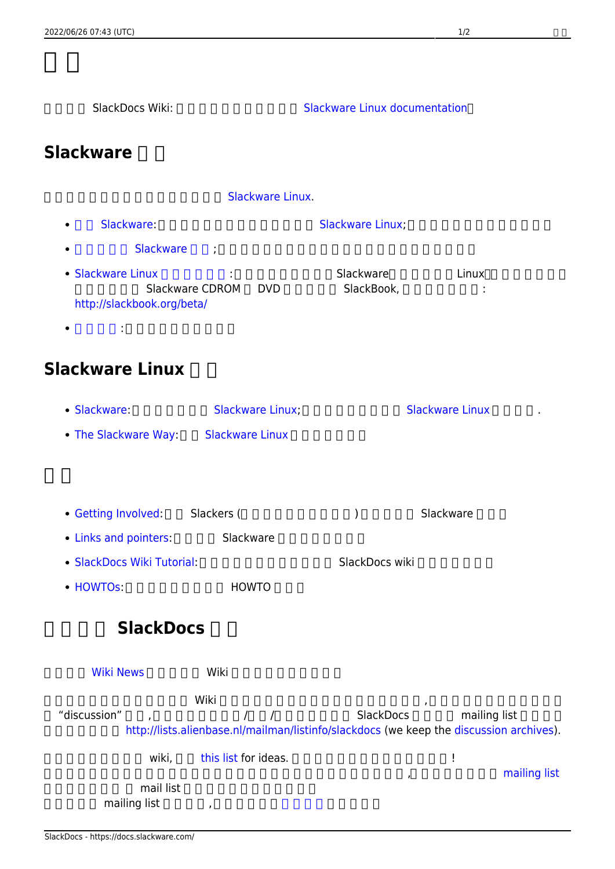<span id="page-0-0"></span>**Slackware** 

| Slackware Linux.                                                  |                               |                         |                                                                                                         |  |
|-------------------------------------------------------------------|-------------------------------|-------------------------|---------------------------------------------------------------------------------------------------------|--|
| Slackware:<br>$\bullet$                                           |                               | Slackware Linux;        |                                                                                                         |  |
| <b>Slackware</b><br>٠                                             |                               |                         |                                                                                                         |  |
| • Slackware Linux<br>http://slackbook.org/beta/<br>$\ddot{\cdot}$ | Slackware CDROM<br><b>DVD</b> | Slackware<br>SlackBook, | Linux                                                                                                   |  |
| <b>Slackware Linux</b>                                            |                               |                         |                                                                                                         |  |
| · Slackware:                                                      | <b>Slackware Linux;</b>       |                         | <b>Slackware Linux</b>                                                                                  |  |
| • The Slackware Way: Slackware Linux                              |                               |                         |                                                                                                         |  |
| • Getting Involved: Slackers (<br>• Links and pointers:           | Slackware                     | $\mathcal{)}$           | Slackware                                                                                               |  |
| • SlackDocs Wiki Tutorial:                                        |                               | SlackDocs wiki          |                                                                                                         |  |
| • HOWTOS:                                                         | <b>HOWTO</b>                  |                         |                                                                                                         |  |
| SlackDocs                                                         |                               |                         |                                                                                                         |  |
| <b>Wiki News</b>                                                  | Wiki                          |                         |                                                                                                         |  |
| "discussion"                                                      | Wiki<br>$\sqrt{2}$            | SlackDocs               | mailing list<br>http://lists.alienbase.nl/mailman/listinfo/slackdocs (we keep the discussion archives). |  |
| wiki,                                                             | this list for ideas.          |                         | ļ                                                                                                       |  |
| mail list<br>mailing list                                         | ,                             | $^\mathrm{^\mathrm{o}}$ | mailing list                                                                                            |  |

SlackDocs Wiki: <br>
SlackDocs Wiki: <a> [Slackware Linux](https://docs.slackware.com/slackware:slackware) documentation